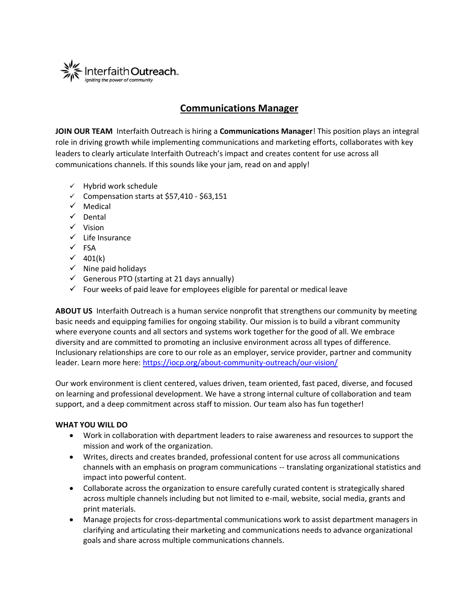

# **Communications Manager**

**JOIN OUR TEAM** Interfaith Outreach is hiring a **Communications Manager**! This position plays an integral role in driving growth while implementing communications and marketing efforts, collaborates with key leaders to clearly articulate Interfaith Outreach's impact and creates content for use across all communications channels. If this sounds like your jam, read on and apply!

- $\checkmark$  Hybrid work schedule
- ✓ Compensation starts at \$57,410 \$63,151
- ✓ Medical
- ✓ Dental
- ✓ Vision
- ✓ Life Insurance
- ✓ FSA
- $\checkmark$  401(k)
- $\checkmark$  Nine paid holidays
- $\checkmark$  Generous PTO (starting at 21 days annually)
- $\checkmark$  Four weeks of paid leave for employees eligible for parental or medical leave

**ABOUT US** Interfaith Outreach is a human service nonprofit that strengthens our community by meeting basic needs and equipping families for ongoing stability. Our mission is to build a vibrant community where everyone counts and all sectors and systems work together for the good of all. We embrace diversity and are committed to promoting an inclusive environment across all types of difference. Inclusionary relationships are core to our role as an employer, service provider, partner and community leader. Learn more here:<https://iocp.org/about-community-outreach/our-vision/>

Our work environment is client centered, values driven, team oriented, fast paced, diverse, and focused on learning and professional development. We have a strong internal culture of collaboration and team support, and a deep commitment across staff to mission. Our team also has fun together!

### **WHAT YOU WILL DO**

- Work in collaboration with department leaders to raise awareness and resources to support the mission and work of the organization.
- Writes, directs and creates branded, professional content for use across all communications channels with an emphasis on program communications -- translating organizational statistics and impact into powerful content.
- Collaborate across the organization to ensure carefully curated content is strategically shared across multiple channels including but not limited to e-mail, website, social media, grants and print materials.
- Manage projects for cross-departmental communications work to assist department managers in clarifying and articulating their marketing and communications needs to advance organizational goals and share across multiple communications channels.